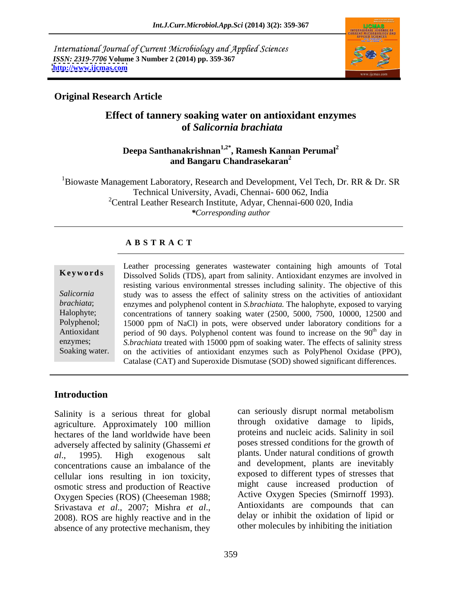International Journal of Current Microbiology and Applied Sciences *ISSN: 2319-7706* **Volume 3 Number 2 (2014) pp. 359-367 <http://www.ijcmas.com>**



### **Original Research Article**

### **Effect of tannery soaking water on antioxidant enzymes of** *Salicornia brachiata*

### **Deepa Santhanakrishnan1,2\* , Ramesh Kannan Perumal2 and Bangaru Chandrasekaran2**

<sup>1</sup>Biowaste Management Laboratory, Research and Development, Vel Tech, Dr. RR & Dr. SR Technical University, Avadi, Chennai- 600 062, India  $2^2$ Central Leather Research Institute, Adyar, Chennai-600 020, India *\*Corresponding author*

### **A B S T R A C T**

**Keywords** Dissolved Solids (TDS), apart from salinity. Antioxidant enzymes are involved in Salicornia study was to assess the effect of salinity stress on the activities of antioxidant *brachiata*; enzymes and polyphenol content in *S.brachiata.* The halophyte*,* exposed to varying Halophyte; concentrations of tannery soaking water (2500, 5000, 7500, 10000, 12500 and Polyphenol; 15000 ppm of NaCl) in pots, were observed under laboratory conditions for a Antioxidant period of 90 days. Polyphenol content was found to increase on the 90<sup>th</sup> day in enzymes; *S.brachiata* treated with 15000 ppm of soaking water. The effects of salinity stress Soaking water. on the activities of antioxidant enzymes such as PolyPhenol Oxidase (PPO), Leather processing generates wastewater containing high amounts of Total resisting various environmental stresses including salinity. The objective of this <sup>th</sup> day in Catalase (CAT) and Superoxide Dismutase (SOD) showed significant differences.

### **Introduction**

Salinity is a serious threat for global agriculture. Approximately 100 million hectares of the land worldwide have been adversely affected by salinity (Ghassemi *et al*., 1995). High exogenous salt plants. Under natural conditions of growth concentrations cause an imbalance of the cellular ions resulting in ion toxicity, osmotic stress and production of Reactive Oxygen Species (ROS) (Cheeseman 1988; Srivastava *et al.*, 2007; Mishra *et al.*, Antioxidants are compounds that can<br>2008). ROS are highly reactive and in the delay or inhibit the oxidation of lipid or absence of any protective mechanism, they

can seriously disrupt normal metabolism through oxidative damage to lipids, proteins and nucleic acids. Salinity in soil poses stressed conditions for the growth of and development, plants are inevitably exposed to different types of stresses that might cause increased production of Active Oxygen Species (Smirnoff 1993). Antioxidants are compounds that can delay or inhibit the oxidation of lipid or other molecules by inhibiting the initiation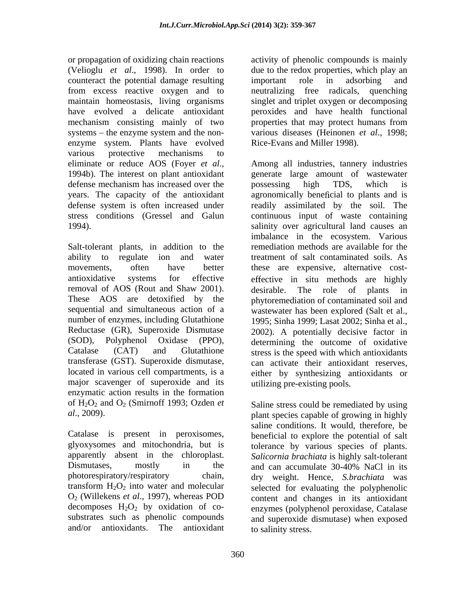or propagation of oxidizing chain reactions activity of phenolic compounds is mainly (Velioglu *et al*., 1998). In order to due to the redox properties, which play an counteract the potential damage resulting from excess reactive oxygen and to maintain homeostasis, living organisms singlet and triplet oxygen or decomposing have evolved a delicate antioxidant peroxides and have health functional mechanism consisting mainly of two properties that may protect humans from systems – the enzyme system and the non- various diseases (Heinonen *et al.*, 1998; enzyme system. Plants have evolved various protective mechanisms to defense mechanism has increased over the possessing high TDS, which is

Salt-tolerant plants, in addition to the removal of AOS (Rout and Shaw 2001). conducted as the role of plants in These AOS are detoxified by the number of enzymes, including Glutathione transferase (GST). Superoxide dismutase, major scavenger of superoxide and its enzymatic action results in the formation of  $H_2O_2$  and  $O_2$  (Smirnoff 1993; Ozden *et* Saline stress could be remediated by using

Dismutases, mostly in the and can accumulate 30-40% NaCl in its

important role in adsorbing and neutralizing free radicals, properties that may protect humans from Rice-Evans and Miller 1998).

eliminate or reduce AOS (Foyer *et al.*, Among all industries, tannery industries 1994b). The interest on plant antioxidant generate large amount of wastewater years. The capacity of the antioxidant agronomically beneficial to plants and is defense system is often increased under readily assimilated by the soil. The stress conditions (Gressel and Galun continuous input of waste containing 1994). salinity over agricultural land causes an ability to regulate ion and water treatment of salt contaminated soils. As movements, often have better these are expensive, alternative cost antioxidative systems for effective effective in situ methods are highly sequential and simultaneous action of a wastewater has been explored (Salt et al., Reductase (GR), Superoxide Dismutase 2002). A potentially decisive factor in (SOD), Polyphenol Oxidase (PPO), determining the outcome of oxidative Catalase (CAT) and Glutathione stress is the speed with which antioxidants located in various cell compartments, is a either by synthesizing antioxidants or Among all industries, tannery industries generate large amount of wastewater possessing high TDS, which is imbalance in the ecosystem. Various remediation methods are available for the desirable. The role of plants in phytoremediation of contaminated soil and 1995; Sinha 1999; Lasat 2002; Sinha et al., can activate their antioxidant reserves, utilizing pre-existing pools.

*al*., 2009). plant species capable of growing in highly Catalase is present in peroxisomes, beneficial to explore the potential of salt glyoxysomes and mitochondria, but is tolerance by various species of plants. apparently absent in the chloroplast. *Salicornia brachiata* is highly salt-tolerant photorespiratory/respiratory chain, dry weight. Hence, *S.brachiata* was transform  $H_2O_2$  into water and molecular selected for evaluating the polyphenolic O2 (Willekens *et al*., 1997), whereas POD content and changes in its antioxidant decomposes  $H_2O_2$  by oxidation of co-<br>enzymes (polyphenol peroxidase, Catalase substrates such as phenolic compounds and superoxide dismutase) when exposed and/or antioxidants. The antioxidant to salinity stress. saline conditions. It would, therefore, be and can accumulate 30-40% NaCl in its to salinity stress.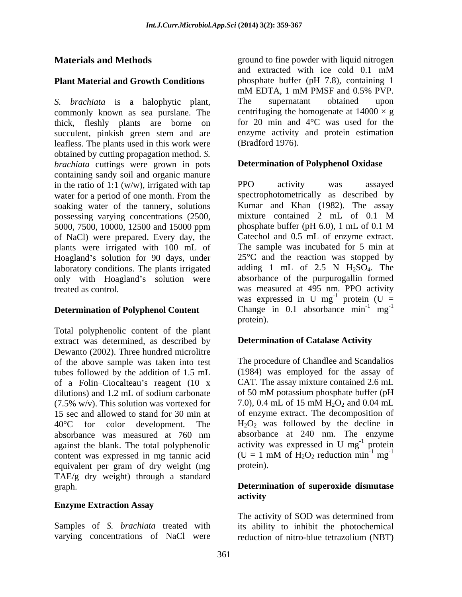*S. brachiata* is a halophytic plant, The supernatant obtained upon commonly known as sea purslane. The centrifuging the homogenate at  $14000 \times g$ thick, fleshly plants are borne on succulent, pinkish green stem and are leafless. The plants used in this work were obtained by cutting propagation method. *S. brachiata* cuttings were grown in pots containing sandy soil and organic manure<br>in the ratio of  $1:1 \, (w/w)$  irrigated with tan in the ratio of 1:1 (w/w), irrigated with tap  $PPO$  activity was assayed water for a period of one month. From the spectrophotometrically as described by soaking water of the tannery, solutions Kumar and Khan (1982). The assay possessing varying concentrations (2500, mixture contained 2 mL of 0.1 M possessing varying concentrations (2500, mixture contained 2 mL of 0.1 M<br>5000, 7500, 10000, 12500 and 15000 ppm phosphate buffer (pH 6.0), 1 mL of 0.1 M 5000, 7500, 10000, 12500 and 15000 ppm of NaCl) were prepared. Every day, the plants were irrigated with 100 mL of Hoagland's solution for 90 days, under  $25^{\circ}$ C and the reaction was stopped by laboratory conditions. The plants irrigated only with Hoagland's solution were treated as control. was measured at 495 nm. PPO activity

## **Determination of Polyphenol Content** Change protein).

Total polyphenolic content of the plant extract was determined, as described by Dewanto (2002). Three hundred microlitre of the above sample was taken into test tubes followed by the addition of 1.5 mL of a Folin-Ciocalteau's reagent  $(10 \times \text{CAT. The assay mixture contained } 2.6 \text{ mL}$ <br>dilutions) and 1.2 mL of sodium carbonate of 50 mM potassium phosphate buffer (pH dilutions) and 1.2 mL of sodium carbonate  $(7.5\% \text{ w/v})$ . This solution was vortexed for  $(7.5\% \text{ w/v})$ . This solution was vortexed for  $(7.5\% \text{ w/v})$ . 15 sec and allowed to stand for 30 min at  $40^{\circ}$ C for color development. The  $H_2O_2$  was followed by the decline in absorbance was measured at 760 nm absorbance at 240 nm. The enzyme against the blank. The total polyphenolic activity was expressed in U mg<sup>-1</sup> protein<br>content was expressed in mg tannic acid  $(U = 1 \text{ mM of } H_2O_2 \text{ reduction min}^{-1} \text{ mg}^{-1})$ content was expressed in mg tannic acid equivalent per gram of dry weight (mg TAE/g dry weight) through a standard graph. **Determination of superoxide dismutase**

### **Enzyme Extraction Assay**

Samples of *S. brachiata* treated with its ability to inhibit the photochemical varying concentrations of NaCl were reduction of nitro-blue tetrazolium (NBT)

**Materials and Methods** entitled a ground to fine powder with liquid nitrogen **Plant Material and Growth Conditions** phosphate buffer (pH 7.8), containing 1 and extracted with ice cold 0.1 mM mM EDTA, 1 mM PMSF and 0.5% PVP. The supernatant obtained upon centrifuging the homogenate at  $14000 \times g$ for 20 min and 4°C was used for the enzyme activity and protein estimation (Bradford 1976).

### **Determination of Polyphenol Oxidase**

PPO activity was assayed spectrophotometrically as described by Kumar and Khan (1982). The assay mixture contained 2 mL of 0.1 M phosphate buffer (pH 6.0), 1 mL of 0.1 M Catechol and 0.5 mL of enzyme extract. The sample was incubated for 5 min at adding 1 mL of  $2.5$  N  $H<sub>2</sub>SO<sub>4</sub>$ . The absorbance of the purpurogallin formed was expressed in U mg<sup>-1</sup> protein (U =  $^{-1}$  protoin (II) protein  $(U =$ Change in 0.1 absorbance  $\text{min}^{-1} \text{ mg}^{-1}$  $-1$  mg $^{-1}$  $mg^{-1}$ -1 protein).

#### **Determination of Catalase Activity**

The procedure of Chandlee and Scandalios (1984) was employed for the assay of CAT. The assay mixture contained 2.6 mL of 50 mM potassium phosphate buffer (pH 7.0), 0.4 mL of 15 mM  $H_2O_2$  and 0.04 mL of enzyme extract. The decomposition of absorbance at 240 nm. The enzyme activity was expressed in U  $mg^{-1}$  protein  $^{-1}$  protoin protein **protein**  $(U = 1$  mM of  $H_2O_2$  reduction min<sup>-1</sup> mg<sup>-1</sup>  $-1 \mod 1$  $mg^{-1}$ -1 protein).

# **activity**

The activity of SOD was determined from reduction of nitro-blue tetrazolium (NBT)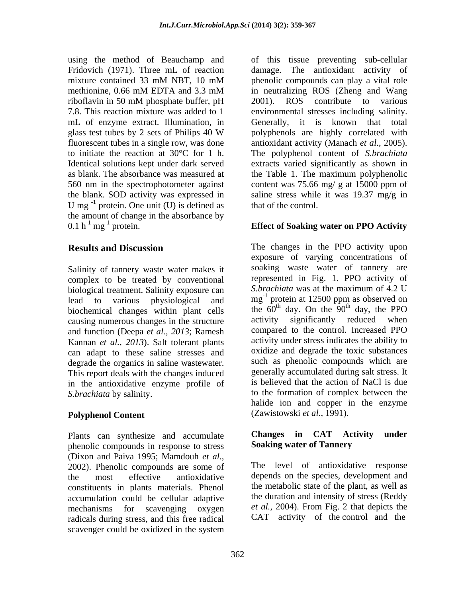U mg $^{-1}$  protein. One unit (U) is defined as that of the control. the amount of change in the absorbance by 0.1  $h^{-1} mg^{-1}$  protein. 0.1 h<sup>-1</sup> mg<sup>-1</sup> protein. **Effect of Soaking water on PPO Activity** 

Salinity of tannery waste water makes it complex to be treated by conventional biological treatment. Salinity exposure can biochemical changes within plant cells the  $60^{\circ}$  day. On the  $90^{\circ}$  day, the PPO causing numerous changes in the structure activity significantly reduced when causing numerous changes in the structure and function (Deepa *et al., 2013*; Ramesh Kannan *et al.*, 2013). Salt tolerant plants can adapt to these saline stresses and degrade the organics in saline wastewater. This report deals with the changes induced in the antioxidative enzyme profile of

#### **Polyphenol Content**

Plants can synthesize and accumulate **Changes in CAT** Activity under phenolic compounds in response to stress (Dixon and Paiva 1995; Mamdouh *et al.*,<br>2002). Phenolic compounds are some of The level of antioxidative response constituents in plants materials. Phenol accumulation could be cellular adaptive<br>mechanisms for scavenging oxygen et al., 2004). From Fig. 2 that depicts the mechanisms for scavenging oxygen radicals during stress, and this free radical scavenger could be oxidized in the system

using the method of Beauchamp and of this tissue preventing sub-cellular Fridovich (1971). Three mL of reaction damage. The antioxidant activity of mixture contained 33 mM NBT, 10 mM phenolic compounds can play a vital role methionine, 0.66 mM EDTA and 3.3 mM in neutralizing ROS (Zheng and Wang riboflavin in 50 mM phosphate buffer, pH 7.8. This reaction mixture was added to 1 environmental stresses including salinity. mL of enzyme extract. Illumination, in Generally, it is known that total glass test tubes by 2 sets of Philips 40 W polyphenols are highly correlated with fluorescent tubes in a single row, was done antioxidant activity (Manach *et al*., 2005). to initiate the reaction at 30°C for 1 h. Ihe polyphenol content of *S.brachiata*<br>Identical solutions kept under dark served extracts varied significantly as shown in as blank. The absorbance was measured at the Table 1. The maximum polyphenolic 560 nm in the spectrophotometer against content was 75.66 mg/ g at 15000 ppm of the blank. SOD activity was expressed in saline stress while it was 19.37 mg/g in phenolic compounds can play a vital role in neutralizing ROS (Zheng and Wang 2001). ROS contribute to various polyphenols are highly correlated with The polyphenol content of *S.brachiata*  extracts varied significantly as shown in that of the control.

**Results and Discussion** The changes in the PPO activity upon lead to various physiological and  $mg^{-1}$  protein at 12500 ppm as observed on *S.brachiata* by salinity. to the formation of complex between the exposure of varying concentrations of soaking waste water of tannery are represented in Fig. 1. PPO activity of *S.brachiata* was at the maximum of 4.2 U protein at 12500 ppm as observed on the  $60<sup>th</sup>$  day. On the  $90<sup>th</sup>$  day, the PPO  $<sup>th</sup>$  day. On the  $90<sup>th</sup>$  day, the PPO</sup> activity significantly reduced when compared to the control. Increased PPO activity under stress indicates the ability to oxidize and degrade the toxic substances such as phenolic compounds which are generally accumulated during salt stress. It is believed that the action of NaCl is due halide ion and copper in the enzyme (Zawistowski *et al.,* 1991).

#### **Changes in CAT Activity under Soaking water of Tannery**

the most effective antioxidative depends on the species, development and The level of antioxidative response the metabolic state of the plant, as well as the duration and intensity of stress (Reddy *et al.,* 2004). From Fig. 2 that depicts the CAT activity of the control and the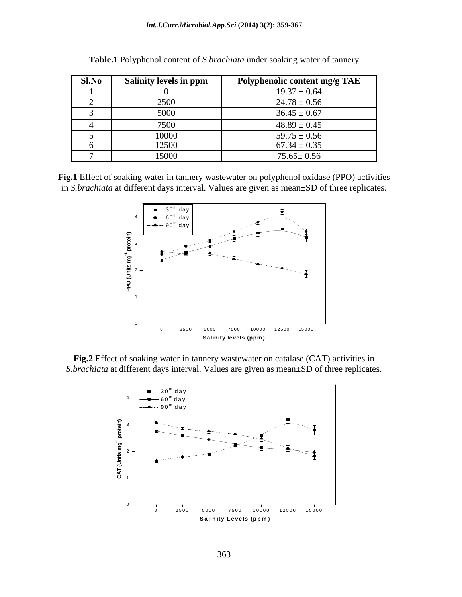| Sl.No | Salinity levels in ppm | Polyphenolic content mg/g TAE |
|-------|------------------------|-------------------------------|
|       |                        | $19.37 \pm 0.64$              |
|       | 2500<br>$-500$         | $24.78 \pm 0.56$              |
|       | 5000                   | $36.45 \pm 0.67$              |
|       | 7500<br>. JUU          | $48.89 \pm 0.45$              |
|       | 10000                  | $59.75 \pm 0.56$              |
|       | 12500                  | $67.34 \pm 0.35$              |
|       | 15000                  | $75.65 \pm 0.56$              |

| <b>Table.1 Pol</b><br>$\sim$<br>it of S. <i>brachiata</i> under soaking water of tannery<br>enol content |  |  |
|----------------------------------------------------------------------------------------------------------|--|--|
|                                                                                                          |  |  |

**Fig.1** Effect of soaking water in tannery wastewater on polyphenol oxidase (PPO) activities in *S.brachiata* at different days interval. Values are given as mean±SD of three replicates.



**Fig.2** Effect of soaking water in tannery wastewater on catalase (CAT) activities in *S.brachiata* at different days interval. Values are given as mean±SD of three replicates.

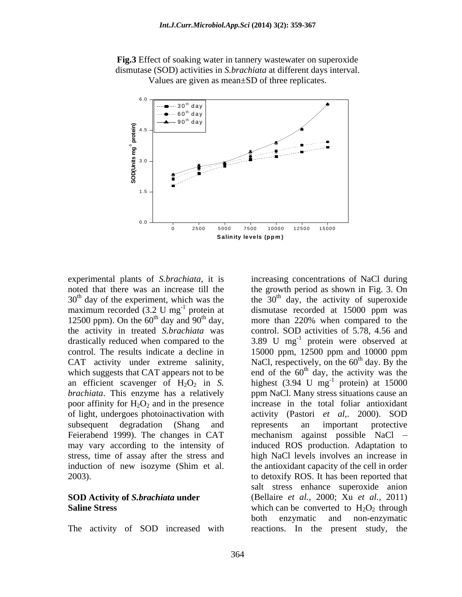



maximum recorded (3.2 U mg<sup>-1</sup> protein at 12500 ppm). On the  $60<sup>th</sup>$  day and  $90<sup>th</sup>$  day, poor affinity for  $H_2O_2$  and in the presence of light, undergoes photoinactivation with activity (Pastori et al., 2000). SOD

The activity of SOD increased with reactions. In the present study, the

experimental plants of *S.brachiata*, it is increasing concentrations of NaCl during noted that there was an increase till the the growth period as shown in Fig. 3. On  $30<sup>th</sup>$  day of the experiment, which was the the  $30<sup>th</sup>$  day, the activity of superoxide <sup>-1</sup> protein at dismutase recorded at 15000 ppm was more than 220% when compared to the the activity in treated *S.brachiata* was control. SOD activities of 5.78, 4.56 and drastically reduced when compared to the  $3.89 \text{ U} \text{ mg}^{-1}$  protein were observed at control. The results indicate a decline in 15000 ppm, 12500 ppm and 10000 ppm CAT activity under extreme salinity, NaCl, respectively, on the  $60<sup>th</sup>$  day. By the which suggests that CAT appears not to be end of the  $60<sup>th</sup>$  day, the activity was the an efficient scavenger of  $H_2O_2$  in *S*. highest (3.94 U mg<sup>-1</sup> protein) at 15000 *brachiata*. This enzyme has a relatively ppm NaCl. Many stress situations cause an subsequent degradation (Shang and represents an important protective Feierabend 1999). The changes in CAT mechanism against possible NaCl – may vary according to the intensity of induced ROS production. Adaptation to stress, time of assay after the stress and high NaCl levels involves an increase in induction of new isozyme (Shim et al. the antioxidant capacity of the cell in order 2003). to detoxify ROS. It has been reported that **SOD Activity of** *S.brachiata* **under**  (Bellaire *et al.,* 2000; Xu *et al.,* 2011) **Saline Stress** Which can be converted to  $H_2O_2$  through more than 220% when compared to the protein) at 15000 increase in the total foliar antioxidant activity (Pastori *et al*,. 2000). SOD represents an important protective mechanism against possible NaCl salt stress enhance superoxide anion both enzymatic and non-enzymatic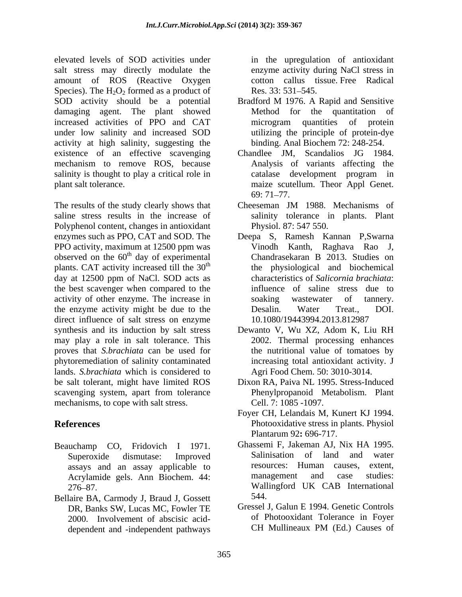elevated levels of SOD activities under salt stress may directly modulate the amount of ROS (Reactive Oxygen Species). The  $H_2O_2$  formed as a product of Res. 33: 531–545. SOD activity should be a potential Bradford M 1976. A Rapid and Sensitive damaging agent. The plant showed Method for the quantitation of increased activities of PPO and CAT under low salinity and increased SOD activity at high salinity, suggesting the existence of an effective scavenging Chandlee JM, Scandalios JG 1984. mechanism to remove ROS, because Analysis of variants affecting the salinity is thought to play a critical role in eatulase development program in

The results of the study clearly shows that Cheeseman JM 1988. Mechanisms of saline stress results in the increase of Polyphenol content, changes in antioxidant enzymes such as PPO, CAT and SOD. The Deepa S, Ramesh Kannan P,Swarna PPO activity, maximum at 12500 ppm was Vinodh Kanth, Raghava Rao J, observed on the  $60<sup>th</sup>$  day of experimental plants. CAT activity increased till the  $30<sup>th</sup>$ day at 12500 ppm of NaCl. SOD acts as the best scavenger when compared to the activity of other enzyme. The increase in soaking wastewater of tannery. the enzyme activity might be due to the Desalin. Water Treat., DOI. direct influence of salt stress on enzyme synthesis and its induction by salt stress Dewanto V, Wu XZ, Adom K, Liu RH may play a role in salt tolerance. This proves that *S.brachiata* can be used for phytoremediation of salinity contaminated lands. *S.brachiata* which is considered to be salt tolerant, might have limited ROS scavenging system, apart from tolerance mechanisms, to cope with salt stress.

- Beauchamp CO, Fridovich I 1971. Ghassemi F, Jakeman AJ, Nix HA 1995.<br>Superoxide dismutase: Improved Salinisation of land and water Acrylamide gels. Ann Biochem. 44:
- Bellaire BA, Carmody J, Braud J, Gossett DR, Banks SW, Lucas MC, Fowler TE dependent and -independent pathways

in the upregulation of antioxidant enzyme activity during NaCl stress in cotton callus tissue. Free Radical Res. 33: 531–545.

- Bradford M 1976. A Rapid and Sensitive Method for the quantitation of microgram quantities of protein utilizing the principle of protein-dye binding. Anal Biochem 72: 248-254.
- plant salt tolerance. maize scutellum. Theor Appl Genet. Chandlee JM, Scandalios JG 1984. Analysis of variants affecting the catalase development program in 69: 71–77.
	- Cheeseman JM 1988. Mechanisms of salinity tolerance in plants. Plant Physiol. 87: 547 550.
	- Vinodh Kanth, Raghava Rao Chandrasekaran B 2013. Studies on the physiological and biochemical characteristics of *Salicornia brachiata*: influence of saline stress due to soaking wastewater of tannery. Desalin. Water Treat., DOI. 10.1080/19443994.2013.812987
	- 2002. Thermal processing enhances the nutritional value of tomatoes by increasing total antioxidant activity. J Agri Food Chem. 50: 3010-3014.
	- Dixon RA, Paiva NL 1995. Stress-Induced Phenylpropanoid Metabolism. Plant Cell. 7: 1085 -1097.
- **References** Photooxidative stress in plants. Physiol Foyer CH, Lelandais M, Kunert KJ 1994. Plantarum 92**:** 696-717.
	- assays and an assay applicable to resources: Human causes, extent,  $\Delta$ crylamide gels  $\Delta$ nn Biochem  $44$ : management and case studies: 276 87. Wallingford UK CAB International Ghassemi F, Jakeman AJ, Nix HA 1995. Salinisation of land and water resources: Human causes, management and case studies: 544.
	- 2000. Involvement of abscisic acid-<br>dependent and -independent pathways CH Mullineaux PM (Ed.) Causes of Gressel J, Galun E 1994. Genetic Controls of Photooxidant Tolerance in Foyer CH Mullineaux PM (Ed.) Causes of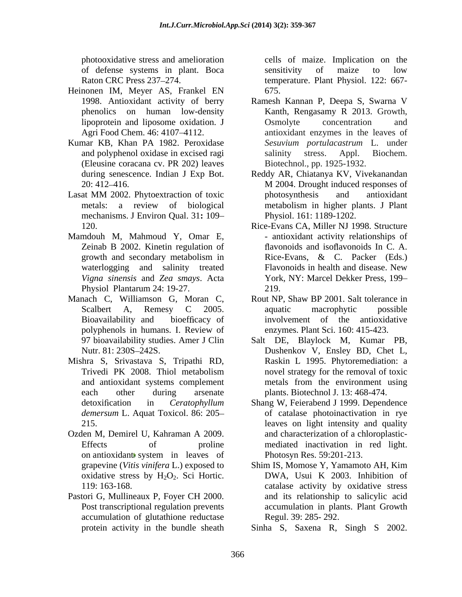of defense systems in plant. Boca

- Heinonen IM, Meyer AS, Frankel EN
- Kumar KB, Khan PA 1982. Peroxidase (Eleusine coracana cv. PR 202) leaves
- Lasat MM 2002. Phytoextraction of toxic mechanisms. J Environ Qual. 31**:** 109
- Mamdouh M, Mahmoud Y, Omar E, Zeinab B 2002. Kinetin regulation of waterlogging and salinity treated Physiol Plantarum 24: 19-27.
- Manach C, Williamson G, Moran C, Rout NP, Shaw BP 2001. Salt tolerance in
- Mishra S, Srivastava S, Tripathi RD,
- Ozden M, Demirel U, Kahraman A 2009. oxidative stress by  $H_2O_2$ . Sci Hortic.
- Pastori G, Mullineaux P, Foyer CH 2000. accumulation of glutathione reductase protein activity in the bundle sheath

photooxidative stress and amelioration cells of maize. Implication on the Raton CRC Press 237–274. temperature. Plant Physiol. 122: 667sensitivity of maize to low 675.

- 1998. Antioxidant activity of berry Ramesh Kannan P, Deepa S, Swarna V phenolics on human low-density Kanth, Rengasamy R 2013. Growth, lipoprotein and liposome oxidation. J Agri Food Chem. 46: 4107–4112. antioxidant enzymes in the leaves of and polyphenol oxidase in excised ragi salinity stress. Appl. Biochem. Osmolyte concentration and *Sesuvium portulacastrum* L. under salinity stress. Appl. Biochem. Biotechnol., pp. 1925-1932.
- during senescence. Indian J Exp Bot. Reddy AR, Chiatanya KV, Vivekanandan<br>20: 412–416. 20: 412–416. 20: 412–416. metals: a review of biological metabolism in higher plants. J Plant Reddy AR, Chiatanya KV, Vivekanandan M 2004. Drought induced responses of photosynthesis and antioxidant Physiol. 161: 1189-1202.
- 120. Rice-Evans CA, Miller NJ 1998. Structure growth and secondary metabolism in Rice-Evans, & C. Packer (Eds.) *Vigna sinensis* and *Zea smays*. Acta York, NY: Marcel Dekker Press, 199 Rice-Evans CA, Miller NJ 1998. Structure - antioxidant activity relationships of flavonoids and isoflavonoids In C. A. Rice-Evans, & C. Packer (Eds.) Flavonoids in health and disease. New 219.
- Scalbert A, Remesy C 2005. aquatic macrophytic possible<br>Bioavailability and bioefficacy of involvement of the antioxidative polyphenols in humans. I. Review of aquatic macrophytic possible involvement of the antioxidative enzymes. Plant Sci. 160: 415-423.
- 97 bioavailability studies. Amer J Clin Salt DE, Blaylock M, Kumar PB, Nutr. 81: 230S 242S. Dushenkov V, Ensley BD, Chet L, Trivedi PK 2008. Thiol metabolism and antioxidant systems complement each other during arsenate plants. Biotechnol J. 13: 468-474. Raskin L 1995. Phytoremediation: a novel strategy for the removal of toxic metals from the environment using
- detoxification in *Ceratophyllum* Shang W, Feierabend J 1999. Dependence demersum L. Aquat Toxicol. 86: 205– of catalase photoinactivation in rye 215. leaves on light intensity and quality Effects of proline mediated inactivation in red light. on antioxidant system in leaves of Photosyn Res. 59:201-213. and characterization of a chloroplastic- Photosyn Res. 59:201-213.
- grapevine (*Vitis vinifera* L.) exposed to 119: 163-168. catalase activity by oxidative stress Post transcriptional regulation prevents accumulation in plants. Plant Growth Shim IS, Momose Y, Yamamoto AH, Kim DWA, Usui K 2003. Inhibition of and its relationship to salicylic acid Regul. 39: 285- 292.

Sinha S, Saxena R, Singh S 2002.